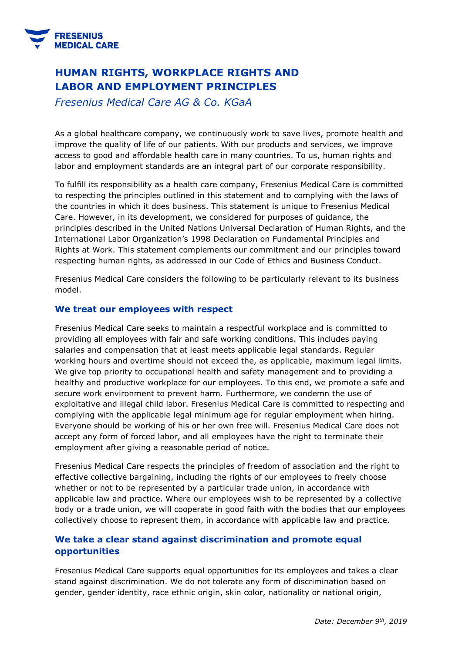

# **HUMAN RIGHTS, WORKPLACE RIGHTS AND LABOR AND EMPLOYMENT PRINCIPLES**

*Fresenius Medical Care AG & Co. KGaA*

As a global healthcare company, we continuously work to save lives, promote health and improve the quality of life of our patients. With our products and services, we improve access to good and affordable health care in many countries. To us, human rights and labor and employment standards are an integral part of our corporate responsibility.

To fulfill its responsibility as a health care company, Fresenius Medical Care is committed to respecting the principles outlined in this statement and to complying with the laws of the countries in which it does business. This statement is unique to Fresenius Medical Care. However, in its development, we considered for purposes of guidance, the principles described in the United Nations Universal Declaration of Human Rights, and the International Labor Organization's 1998 Declaration on Fundamental Principles and Rights at Work. This statement complements our commitment and our principles toward respecting human rights, as addressed in our Code of Ethics and Business Conduct.

Fresenius Medical Care considers the following to be particularly relevant to its business model.

### **We treat our employees with respect**

Fresenius Medical Care seeks to maintain a respectful workplace and is committed to providing all employees with fair and safe working conditions. This includes paying salaries and compensation that at least meets applicable legal standards. Regular working hours and overtime should not exceed the, as applicable, maximum legal limits. We give top priority to occupational health and safety management and to providing a healthy and productive workplace for our employees. To this end, we promote a safe and secure work environment to prevent harm. Furthermore, we condemn the use of exploitative and illegal child labor. Fresenius Medical Care is committed to respecting and complying with the applicable legal minimum age for regular employment when hiring. Everyone should be working of his or her own free will. Fresenius Medical Care does not accept any form of forced labor, and all employees have the right to terminate their employment after giving a reasonable period of notice.

Fresenius Medical Care respects the principles of freedom of association and the right to effective collective bargaining, including the rights of our employees to freely choose whether or not to be represented by a particular trade union, in accordance with applicable law and practice. Where our employees wish to be represented by a collective body or a trade union, we will cooperate in good faith with the bodies that our employees collectively choose to represent them, in accordance with applicable law and practice.

## **We take a clear stand against discrimination and promote equal opportunities**

Fresenius Medical Care supports equal opportunities for its employees and takes a clear stand against discrimination. We do not tolerate any form of discrimination based on gender, gender identity, race ethnic origin, skin color, nationality or national origin,